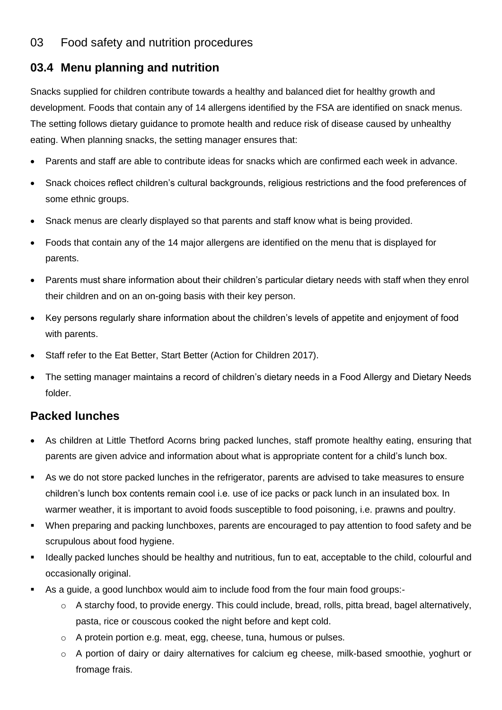## 03 Food safety and nutrition procedures

## **03.4 Menu planning and nutrition**

Snacks supplied for children contribute towards a healthy and balanced diet for healthy growth and development. Foods that contain any of 14 allergens identified by the FSA are identified on snack menus. The setting follows dietary guidance to promote health and reduce risk of disease caused by unhealthy eating. When planning snacks, the setting manager ensures that:

- Parents and staff are able to contribute ideas for snacks which are confirmed each week in advance.
- Snack choices reflect children's cultural backgrounds, religious restrictions and the food preferences of some ethnic groups.
- Snack menus are clearly displayed so that parents and staff know what is being provided.
- Foods that contain any of the 14 major allergens are identified on the menu that is displayed for parents.
- Parents must share information about their children's particular dietary needs with staff when they enrol their children and on an on-going basis with their key person.
- Key persons regularly share information about the children's levels of appetite and enjoyment of food with parents.
- Staff refer to the Eat Better, Start Better (Action for Children 2017).
- The setting manager maintains a record of children's dietary needs in a Food Allergy and Dietary Needs folder.

## **Packed lunches**

- As children at Little Thetford Acorns bring packed lunches, staff promote healthy eating, ensuring that parents are given advice and information about what is appropriate content for a child's lunch box.
- As we do not store packed lunches in the refrigerator, parents are advised to take measures to ensure children's lunch box contents remain cool i.e. use of ice packs or pack lunch in an insulated box. In warmer weather, it is important to avoid foods susceptible to food poisoning, i.e. prawns and poultry.
- When preparing and packing lunchboxes, parents are encouraged to pay attention to food safety and be scrupulous about food hygiene.
- Ideally packed lunches should be healthy and nutritious, fun to eat, acceptable to the child, colourful and occasionally original.
- As a quide, a good lunchbox would aim to include food from the four main food groups:-
	- $\circ$  A starchy food, to provide energy. This could include, bread, rolls, pitta bread, bagel alternatively, pasta, rice or couscous cooked the night before and kept cold.
	- o A protein portion e.g. meat, egg, cheese, tuna, humous or pulses.
	- o A portion of dairy or dairy alternatives for calcium eg cheese, milk-based smoothie, yoghurt or fromage frais.